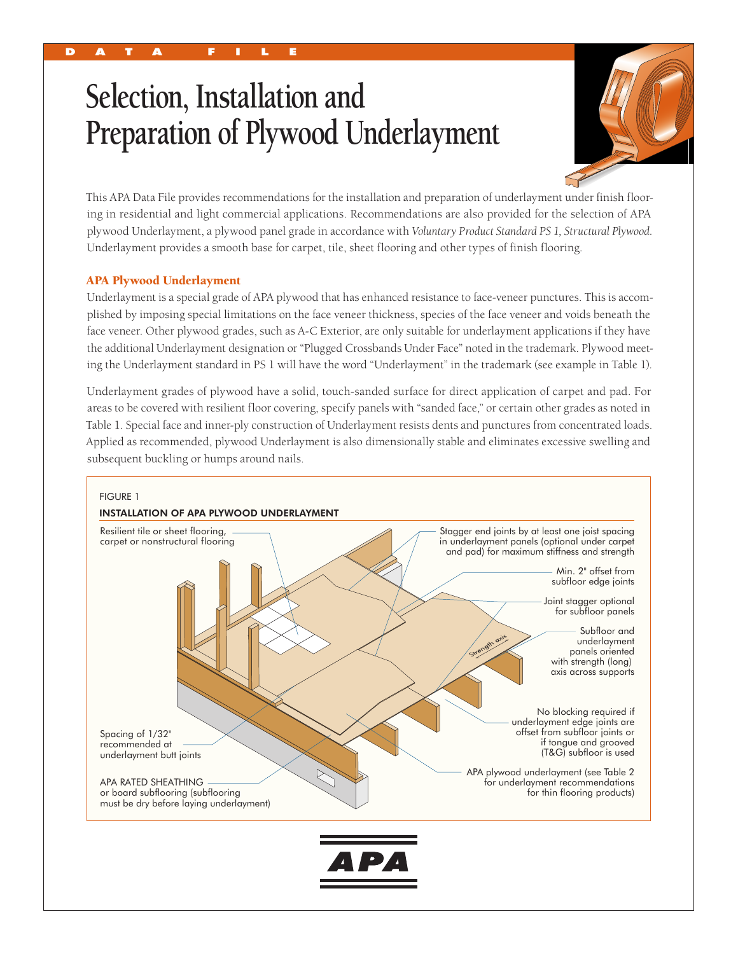# **Selection, Installation and Preparation of Plywood Underlayment**



This APA Data File provides recommendations for the installation and preparation of underlayment under finish flooring in residential and light commercial applications. Recommendations are also provided for the selection of APA plywood Underlayment, a plywood panel grade in accordance with *Voluntary Product Standard PS 1, Structural Plywood.*  Underlayment provides a smooth base for carpet, tile, sheet flooring and other types of finish flooring.

# APA Plywood Underlayment

Underlayment is a special grade of APA plywood that has enhanced resistance to face-veneer punctures. This is accomplished by imposing special limitations on the face veneer thickness, species of the face veneer and voids beneath the face veneer. Other plywood grades, such as A-C Exterior, are only suitable for underlayment applications if they have the additional Underlayment designation or "Plugged Crossbands Under Face" noted in the trademark. Plywood meeting the Underlayment standard in PS 1 will have the word "Underlayment" in the trademark (see example in Table 1).

Underlayment grades of plywood have a solid, touch-sanded surface for direct application of carpet and pad. For areas to be covered with resilient floor covering, specify panels with "sanded face," or certain other grades as noted in Table 1. Special face and inner-ply construction of Underlayment resists dents and punctures from concentrated loads. Applied as recommended, plywood Underlayment is also dimensionally stable and eliminates excessive swelling and subsequent buckling or humps around nails.

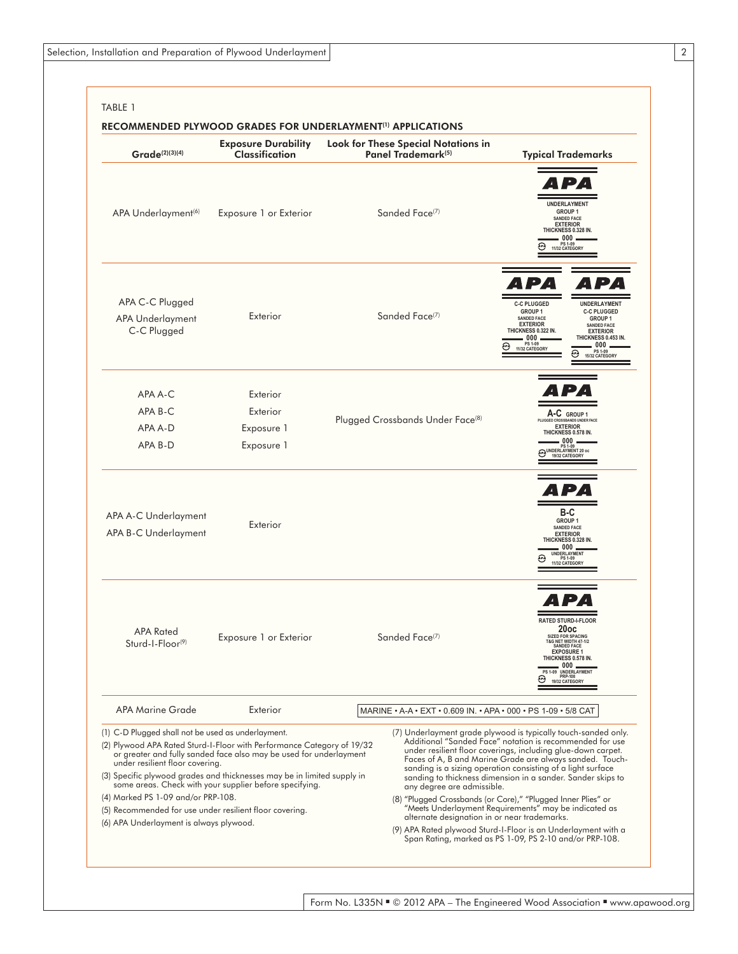| Grade(2)(3)(4)                                                                                                                                                                                                                    | <b>Exposure Durability</b><br><b>Classification</b>                                                                                                                                                                                                                                | <b>Look for These Special Notations in</b><br>Panel Trademark <sup>(5)</sup> | <b>Typical Trademarks</b>                                                                                                                                                                                                                                                                                                                                                                                                                                                                                                                                                                                                                 |  |
|-----------------------------------------------------------------------------------------------------------------------------------------------------------------------------------------------------------------------------------|------------------------------------------------------------------------------------------------------------------------------------------------------------------------------------------------------------------------------------------------------------------------------------|------------------------------------------------------------------------------|-------------------------------------------------------------------------------------------------------------------------------------------------------------------------------------------------------------------------------------------------------------------------------------------------------------------------------------------------------------------------------------------------------------------------------------------------------------------------------------------------------------------------------------------------------------------------------------------------------------------------------------------|--|
| APA Underlayment <sup>(6)</sup>                                                                                                                                                                                                   | Exposure 1 or Exterior                                                                                                                                                                                                                                                             | Sanded Face <sup>(7)</sup>                                                   | UNDERLAYMENT<br><b>GROUP 1</b><br>SANDED FACE<br><b>EXTERIOR</b><br>THICKNESS 0.328 IN.<br>000.<br>PS 1-09<br>11/32 CATEGORY<br>œ                                                                                                                                                                                                                                                                                                                                                                                                                                                                                                         |  |
| APA C-C Plugged<br>APA Underlayment<br>C-C Plugged                                                                                                                                                                                | Exterior                                                                                                                                                                                                                                                                           | Sanded Face <sup>(7)</sup>                                                   | $\blacksquare$<br><b>C-C PLUGGED</b><br>UNDERLAYMENT<br><b>GROUP 1</b><br><b>C-C PLUGGED</b><br><b>SANDED FACE</b><br>GROUP <sub>1</sub><br><b>EXTERIOR</b><br><b>SANDED FACE</b><br>THICKNESS 0.322 IN.<br><b>EXTERIOR</b><br>000<br>THICKNESS 0.453 IN.<br>PS 1-09<br>. 000 .<br>⊕<br>11/32 CATEGORY<br>PS 1-09<br>15/32 CATEGORY                                                                                                                                                                                                                                                                                                       |  |
| APA A-C<br>APA B-C<br>APA A-D<br>APA B-D                                                                                                                                                                                          | Exterior<br>Exterior<br>Exposure 1<br>Exposure 1                                                                                                                                                                                                                                   | Plugged Crossbands Under Face <sup>(8)</sup>                                 | A-C GROUP 1<br>PLUGGED CROSSBANDS UNDER FACE<br><b>EXTERIOR</b><br>THICKNESS 0.578 IN.<br>. 000 .<br>PS 1-09<br>MUNDERLAYMENT 20 oc<br>19/32 CATEGORY                                                                                                                                                                                                                                                                                                                                                                                                                                                                                     |  |
| APA A-C Underlayment<br>APA B-C Underlayment                                                                                                                                                                                      | Exterior                                                                                                                                                                                                                                                                           |                                                                              | B-C<br><b>GROUP 1</b><br><b>SANDED FACE</b><br><b>EXTERIOR</b><br>THICKNESS 0.328 IN.<br>$000 -$<br>UNDERLAYMENT<br>PS 1-09<br>11/32 CATEGORY                                                                                                                                                                                                                                                                                                                                                                                                                                                                                             |  |
| <b>APA Rated</b><br>Sturd-I-Floor <sup>(9)</sup>                                                                                                                                                                                  | Exposure 1 or Exterior                                                                                                                                                                                                                                                             | Sanded Face <sup>(7)</sup>                                                   | <b>RATED STURD-I-FLOOR</b><br>20oc<br><b>SIZED FOR SPACING</b><br>T&G NET WIDTH 47-1/2<br>SANDED FACE<br><b>EXPOSURE 1</b><br>THICKNESS 0.578 IN.<br>000<br>PS 1-09 UNDERLAYMENT<br>PRP-108<br>19/32 CATEGORY                                                                                                                                                                                                                                                                                                                                                                                                                             |  |
| <b>APA Marine Grade</b>                                                                                                                                                                                                           | Exterior                                                                                                                                                                                                                                                                           | MARINE • A-A • EXT • 0.609 IN. • APA • 000 • PS 1-09 • 5/8 CAT               |                                                                                                                                                                                                                                                                                                                                                                                                                                                                                                                                                                                                                                           |  |
| (1) C-D Plugged shall not be used as underlayment.<br>under resilient floor covering.<br>(4) Marked PS 1-09 and/or PRP-108.<br>(5) Recommended for use under resilient floor covering.<br>(6) APA Underlayment is always plywood. | (2) Plywood APA Rated Sturd-I-Floor with Performance Category of 19/32<br>or greater and fully sanded face also may be used for underlayment<br>(3) Specific plywood grades and thicknesses may be in limited supply in<br>some areas. Check with your supplier before specifying. | any degree are admissible.<br>alternate designation in or near trademarks.   | (7) Underlayment grade plywood is typically touch-sanded only.<br>Additional "Sanded Face" notation is recommended for use<br>under resilient floor coverings, including glue-down carpet.<br>Faces of A, B and Marine Grade are always sanded. Touch-<br>sanding is a sizing operation consisting of a light surface<br>sanding to thickness dimension in a sander. Sander skips to<br>(8) "Plugged Crossbands (or Core)," "Plugged Inner Plies" or<br>"Meets Underlayment Requirements" may be indicated as<br>(9) APA Rated plywood Sturd-I-Floor is an Underlayment with a<br>Span Rating, marked as PS 1-09, PS 2-10 and/or PRP-108. |  |

Form No. L335N ■ © 2012 APA – The Engineered Wood Association ■ www.apawood.org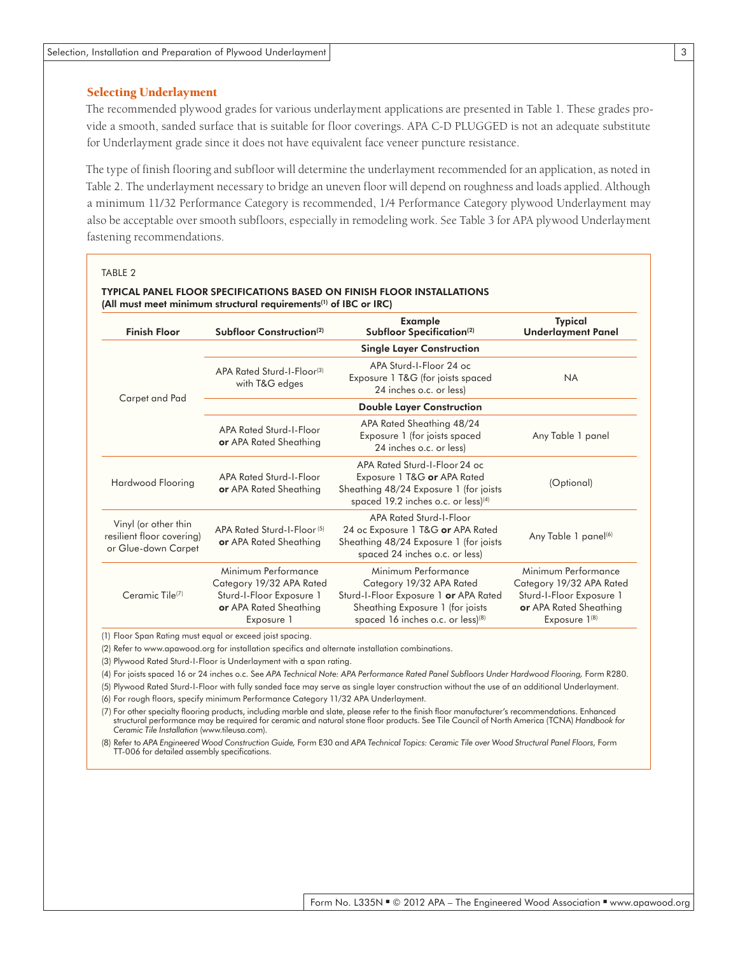# Selecting Underlayment

The recommended plywood grades for various underlayment applications are presented in Table 1. These grades provide a smooth, sanded surface that is suitable for floor coverings. APA C-D PLUGGED is not an adequate substitute for Underlayment grade since it does not have equivalent face veneer puncture resistance.

The type of finish flooring and subfloor will determine the underlayment recommended for an application, as noted in Table 2. The underlayment necessary to bridge an uneven floor will depend on roughness and loads applied. Although a minimum 11/32 Performance Category is recommended, 1/4 Performance Category plywood Underlayment may also be acceptable over smooth subfloors, especially in remodeling work. See Table 3 for APA plywood Underlayment fastening recommendations.

#### TABLE 2

| <b>Finish Floor</b>                                                      | Subfloor Construction <sup>(2)</sup>                                                                                | Example<br>Subfloor Specification <sup>(2)</sup>                                                                                                                              | Typical<br><b>Underlayment Panel</b>                                                                                        |  |  |
|--------------------------------------------------------------------------|---------------------------------------------------------------------------------------------------------------------|-------------------------------------------------------------------------------------------------------------------------------------------------------------------------------|-----------------------------------------------------------------------------------------------------------------------------|--|--|
| Carpet and Pad                                                           | <b>Single Layer Construction</b>                                                                                    |                                                                                                                                                                               |                                                                                                                             |  |  |
|                                                                          | APA Rated Sturd-I-Floor(3)<br>with T&G edges                                                                        | APA Sturd-I-Floor 24 oc<br>Exposure 1 T&G (for joists spaced<br>24 inches o.c. or less)                                                                                       | <b>NA</b>                                                                                                                   |  |  |
|                                                                          | <b>Double Layer Construction</b>                                                                                    |                                                                                                                                                                               |                                                                                                                             |  |  |
|                                                                          | APA Rated Sturd-I-Floor<br><b>or</b> APA Rated Sheathing                                                            | APA Rated Sheathing 48/24<br>Exposure 1 (for joists spaced<br>24 inches o.c. or less)                                                                                         | Any Table 1 panel                                                                                                           |  |  |
| Hardwood Flooring                                                        | APA Rated Sturd-I-Floor<br>or APA Rated Sheathing                                                                   | APA Rated Sturd-I-Floor 24 oc<br>Exposure 1 T&G or APA Rated<br>Sheathing 48/24 Exposure 1 (for joists<br>spaced 19.2 inches o.c. or less $(4)$                               | (Optional)                                                                                                                  |  |  |
| Vinyl (or other thin<br>resilient floor covering)<br>or Glue-down Carpet | APA Rated Sturd-I-Floor(5)<br><b>or</b> APA Rated Sheathing                                                         | APA Rated Sturd-I-Floor<br>24 oc Exposure 1 T&G or APA Rated<br>Sheathing 48/24 Exposure 1 (for joists<br>spaced 24 inches o.c. or less)                                      | Any Table 1 panel <sup>(6)</sup>                                                                                            |  |  |
| Ceramic Tile <sup>(7)</sup>                                              | Minimum Performance<br>Category 19/32 APA Rated<br>Sturd-I-Floor Exposure 1<br>or APA Rated Sheathing<br>Exposure 1 | Minimum Performance<br>Category 19/32 APA Rated<br>Sturd-I-Floor Exposure 1 or APA Rated<br>Sheathing Exposure 1 (for joists<br>spaced 16 inches o.c. or less) <sup>(8)</sup> | Minimum Performance<br>Category 19/32 APA Rated<br>Sturd-I-Floor Exposure 1<br>or APA Rated Sheathing<br>Exposure $1^{(8)}$ |  |  |

(1) Floor Span Rating must equal or exceed joist spacing.

(2) Refer to [www.apawood.org](http://www.apawood.org) for installation specifics and alternate installation combinations.

(3) Plywood Rated Sturd-I-Floor is Underlayment with a span rating.

(4) For joists spaced 16 or 24 inches o.c. See APA Technical Note: APA Performance Rated Panel Subfloors Under Hardwood Flooring, Form R280.

(5) Plywood Rated Sturd-I-Floor with fully sanded face may serve as single layer construction without the use of an additional Underlayment.

(6) For rough floors, specify minimum Performance Category 11/32 APA Underlayment.

(7) For other specialty flooring products, including marble and slate, please refer to the finish floor manufacturer's recommendations. Enhanced structural performance may be required for ceramic and natural stone floor products. See Tile Council of North America (TCNA) *Handbook for Ceramic Tile Installation* [\(www.tileusa.com](http://www.tileusa.com/)).

(8) Refer to *APA Engineered Wood Construction Guide,* Form E30 and *APA Technical Topics: Ceramic Tile over Wood Structural Panel Floors,* Form TT-006 for detailed assembly specifications.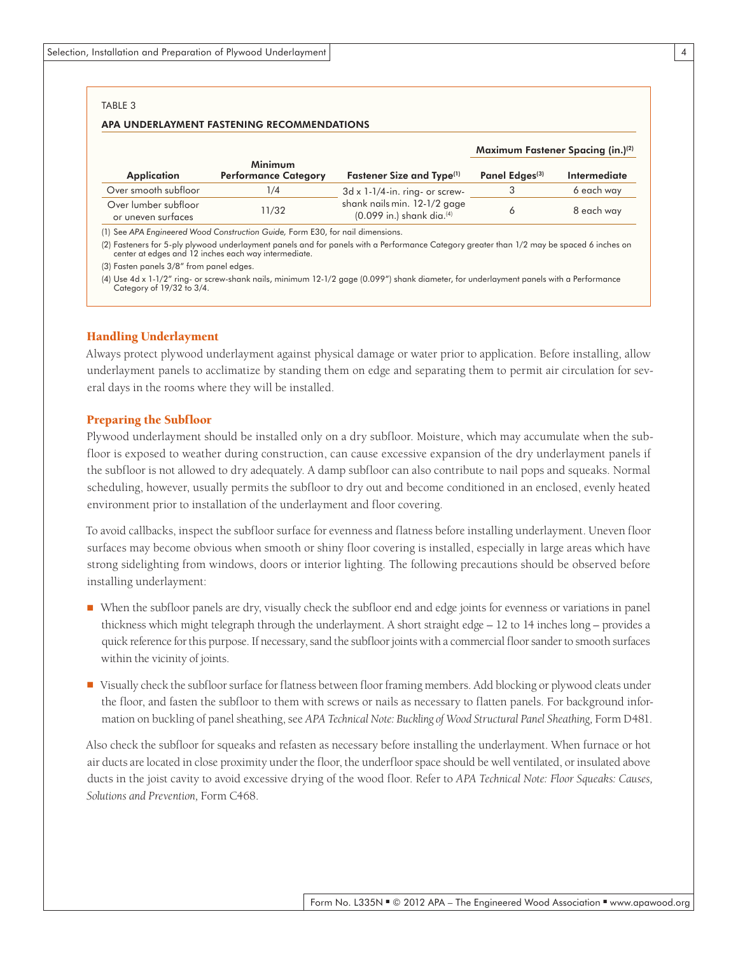#### TABLE 3

#### APA UNDERLAYMENT FASTENING RECOMMENDATIONS

|                                            |                                        |                                                                         | Maximum Fastener Spacing (in.) <sup>(2)</sup> |              |
|--------------------------------------------|----------------------------------------|-------------------------------------------------------------------------|-----------------------------------------------|--------------|
| <b>Application</b>                         | Minimum<br><b>Performance Category</b> | Fastener Size and Type <sup>(1)</sup>                                   | Panel Edges <sup>(3)</sup>                    | Intermediate |
| Over smooth subfloor                       | 1/4                                    | $3d \times 1-1/4$ -in. ring- or screw-                                  |                                               | 6 each way   |
| Over lumber subfloor<br>or uneven surfaces | 11/32                                  | shank nails min. 12-1/2 gage<br>$(0.099$ in.) shank dia. <sup>(4)</sup> |                                               | 8 each way   |

(1) See *APA Engineered Wood Construction Guide,* Form E30, for nail dimensions.

(2) Fasteners for 5-ply plywood underlayment panels and for panels with a Performance Category greater than 1/2 may be spaced 6 inches on center at edges and 12 inches each way intermediate.

(3) Fasten panels 3/8" from panel edges.

(4) Use 4d x 1-1/2" ring- or screw-shank nails, minimum 12-1/2 gage (0.099") shank diameter, for underlayment panels with a Performance Category of 19/32 to 3/4.

#### Handling Underlayment

Always protect plywood underlayment against physical damage or water prior to application. Before installing, allow underlayment panels to acclimatize by standing them on edge and separating them to permit air circulation for several days in the rooms where they will be installed.

#### Preparing the Subfloor

Plywood underlayment should be installed only on a dry subfloor. Moisture, which may accumulate when the subfloor is exposed to weather during construction, can cause excessive expansion of the dry underlayment panels if the subfloor is not allowed to dry adequately. A damp subfloor can also contribute to nail pops and squeaks. Normal scheduling, however, usually permits the subfloor to dry out and become conditioned in an enclosed, evenly heated environment prior to installation of the underlayment and floor covering.

To avoid callbacks, inspect the subfloor surface for evenness and flatness before installing underlayment. Uneven floor surfaces may become obvious when smooth or shiny floor covering is installed, especially in large areas which have strong sidelighting from windows, doors or interior lighting. The following precautions should be observed before installing underlayment:

- When the subfloor panels are dry, visually check the subfloor end and edge joints for evenness or variations in panel thickness which might telegraph through the underlayment. A short straight edge – 12 to 14 inches long – provides a quick reference for this purpose. If necessary, sand the subfloor joints with a commercial floor sander to smooth surfaces within the vicinity of joints.
- Visually check the subfloor surface for flatness between floor framing members. Add blocking or plywood cleats under the floor, and fasten the subfloor to them with screws or nails as necessary to flatten panels. For background information on buckling of panel sheathing, see APA Technical Note: Buckling of Wood Structural Panel Sheathing, Form D481.

Also check the subfloor for squeaks and refasten as necessary before installing the underlayment. When furnace or hot air ducts are located in close proximity under the floor, the underfloor space should be well ventilated, or insulated above ducts in the joist cavity to avoid excessive drying of the wood floor. Refer to *APA Technical Note: Floor Squeaks: Causes, Solutions and Prevention,* Form C468.

4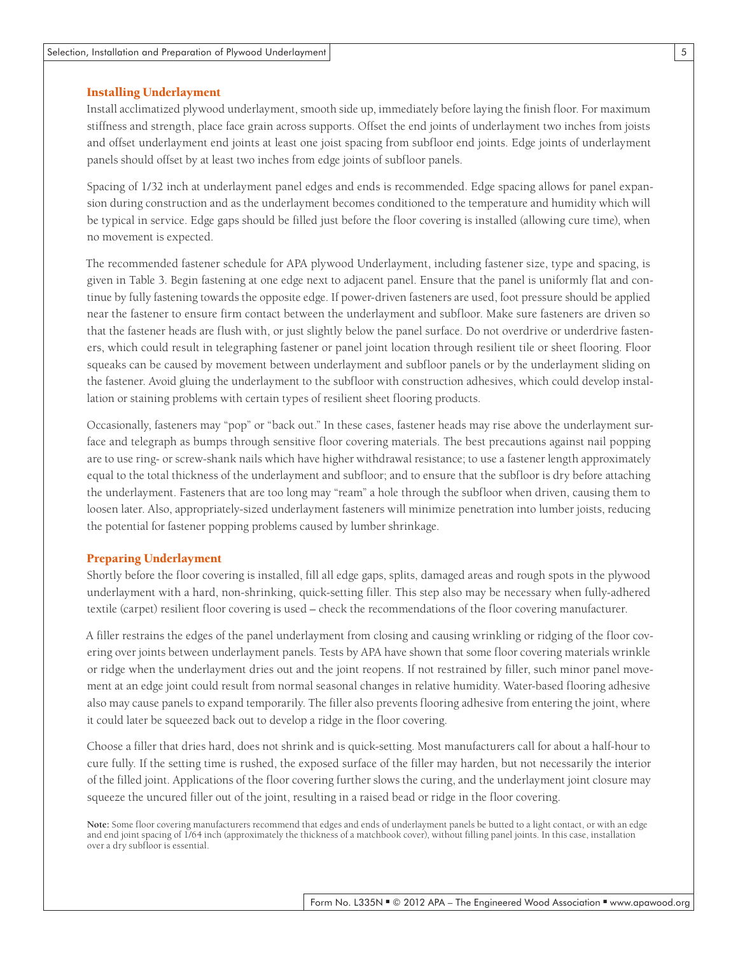# Installing Underlayment

Install acclimatized plywood underlayment, smooth side up, immediately before laying the finish floor. For maximum stiffness and strength, place face grain across supports. Offset the end joints of underlayment two inches from joists and offset underlayment end joints at least one joist spacing from subfloor end joints. Edge joints of underlayment panels should offset by at least two inches from edge joints of subfloor panels.

Spacing of 1/32 inch at underlayment panel edges and ends is recommended. Edge spacing allows for panel expansion during construction and as the underlayment becomes conditioned to the temperature and humidity which will be typical in service. Edge gaps should be filled just before the floor covering is installed (allowing cure time), when no movement is expected.

The recommended fastener schedule for APA plywood Underlayment, including fastener size, type and spacing, is given in Table 3. Begin fastening at one edge next to adjacent panel. Ensure that the panel is uniformly flat and continue by fully fastening towards the opposite edge. If power-driven fasteners are used, foot pressure should be applied near the fastener to ensure firm contact between the underlayment and subfloor. Make sure fasteners are driven so that the fastener heads are flush with, or just slightly below the panel surface. Do not overdrive or underdrive fasteners, which could result in telegraphing fastener or panel joint location through resilient tile or sheet flooring. Floor squeaks can be caused by movement between underlayment and subfloor panels or by the underlayment sliding on the fastener. Avoid gluing the underlayment to the subfloor with construction adhesives, which could develop installation or staining problems with certain types of resilient sheet flooring products.

Occasionally, fasteners may "pop" or "back out." In these cases, fastener heads may rise above the underlayment surface and telegraph as bumps through sensitive floor covering materials. The best precautions against nail popping are to use ring- or screw-shank nails which have higher withdrawal resistance; to use a fastener length approximately equal to the total thickness of the underlayment and subfloor; and to ensure that the subfloor is dry before attaching the underlayment. Fasteners that are too long may "ream" a hole through the subfloor when driven, causing them to loosen later. Also, appropriately-sized underlayment fasteners will minimize penetration into lumber joists, reducing the potential for fastener popping problems caused by lumber shrinkage.

#### Preparing Underlayment

Shortly before the floor covering is installed, fill all edge gaps, splits, damaged areas and rough spots in the plywood underlayment with a hard, non-shrinking, quick-setting filler. This step also may be necessary when fully-adhered textile (carpet) resilient floor covering is used – check the recommendations of the floor covering manufacturer.

A filler restrains the edges of the panel underlayment from closing and causing wrinkling or ridging of the floor covering over joints between underlayment panels. Tests by APA have shown that some floor covering materials wrinkle or ridge when the underlayment dries out and the joint reopens. If not restrained by filler, such minor panel movement at an edge joint could result from normal seasonal changes in relative humidity. Water-based flooring adhesive also may cause panels to expand temporarily. The filler also prevents flooring adhesive from entering the joint, where it could later be squeezed back out to develop a ridge in the floor covering.

Choose a filler that dries hard, does not shrink and is quick-setting. Most manufacturers call for about a half-hour to cure fully. If the setting time is rushed, the exposed surface of the filler may harden, but not necessarily the interior of the filled joint. Applications of the floor covering further slows the curing, and the underlayment joint closure may squeeze the uncured filler out of the joint, resulting in a raised bead or ridge in the floor covering.

**Note:** Some floor covering manufacturers recommend that edges and ends of underlayment panels be butted to a light contact, or with an edge and end joint spacing of 1/64 inch (approximately the thickness of a matchbook cover), without filling panel joints. In this case, installation over a dry subfloor is essential.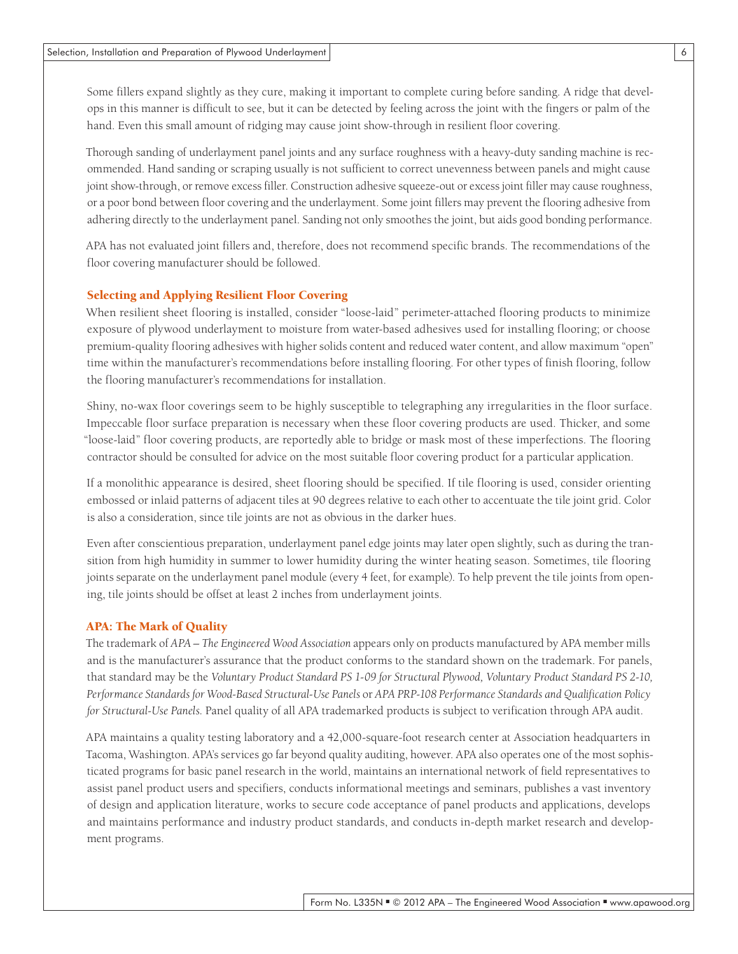Some fillers expand slightly as they cure, making it important to complete curing before sanding. A ridge that develops in this manner is difficult to see, but it can be detected by feeling across the joint with the fingers or palm of the hand. Even this small amount of ridging may cause joint show-through in resilient floor covering.

Thorough sanding of underlayment panel joints and any surface roughness with a heavy-duty sanding machine is recommended. Hand sanding or scraping usually is not sufficient to correct unevenness between panels and might cause joint show-through, or remove excess filler. Construction adhesive squeeze-out or excess joint filler may cause roughness, or a poor bond between floor covering and the underlayment. Some joint fillers may prevent the flooring adhesive from adhering directly to the underlayment panel. Sanding not only smoothes the joint, but aids good bonding performance.

APA has not evaluated joint fillers and, therefore, does not recommend specific brands. The recommendations of the floor covering manufacturer should be followed.

# Selecting and Applying Resilient Floor Covering

When resilient sheet flooring is installed, consider "loose-laid" perimeter-attached flooring products to minimize exposure of plywood underlayment to moisture from water-based adhesives used for installing flooring; or choose premium-quality flooring adhesives with higher solids content and reduced water content, and allow maximum "open" time within the manufacturer's recommendations before installing flooring. For other types of finish flooring, follow the flooring manufacturer's recommendations for installation.

Shiny, no-wax floor coverings seem to be highly susceptible to telegraphing any irregularities in the floor surface. Impeccable floor surface preparation is necessary when these floor covering products are used. Thicker, and some "loose-laid" floor covering products, are reportedly able to bridge or mask most of these imperfections. The flooring contractor should be consulted for advice on the most suitable floor covering product for a particular application.

If a monolithic appearance is desired, sheet flooring should be specified. If tile flooring is used, consider orienting embossed or inlaid patterns of adjacent tiles at 90 degrees relative to each other to accentuate the tile joint grid. Color is also a consideration, since tile joints are not as obvious in the darker hues.

Even after conscientious preparation, underlayment panel edge joints may later open slightly, such as during the transition from high humidity in summer to lower humidity during the winter heating season. Sometimes, tile flooring joints separate on the underlayment panel module (every 4 feet, for example). To help prevent the tile joints from opening, tile joints should be offset at least 2 inches from underlayment joints.

### APA: The Mark of Quality

The trademark of *APA – The Engineered Wood Association* appears only on products manufactured by APA member mills and is the manufacturer's assurance that the product conforms to the standard shown on the trademark. For panels, that standard may be the *Voluntary Product Standard PS 1-09 for Structural Plywood, Voluntary Product Standard PS 2-10, Performance Standards for Wood-Based Structural-Use Panels* or *APA PRP-108 Performance Standards and Qualification Policy for Structural-Use Panels.* Panel quality of all APA trademarked products is subject to verification through APA audit.

APA maintains a quality testing laboratory and a 42,000-square-foot research center at Association headquarters in Tacoma, Washington. APA's services go far beyond quality auditing, however. APA also operates one of the most sophisticated programs for basic panel research in the world, maintains an international network of field representatives to assist panel product users and specifiers, conducts informational meetings and seminars, publishes a vast inventory of design and application literature, works to secure code acceptance of panel products and applications, develops and maintains performance and industry product standards, and conducts in-depth market research and development programs.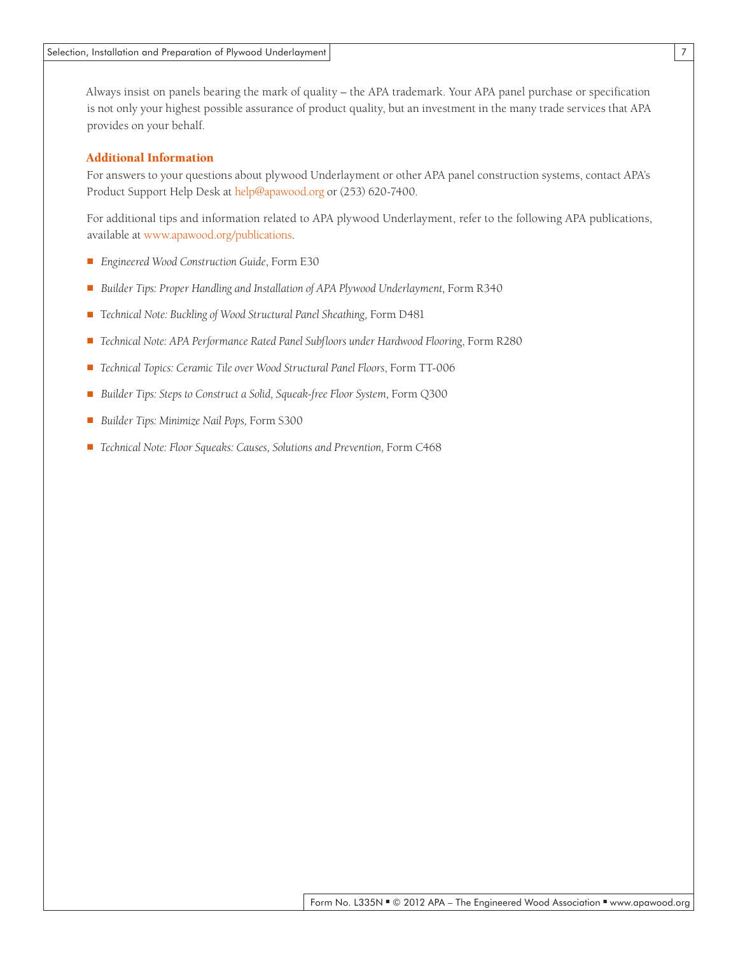Always insist on panels bearing the mark of quality – the APA trademark. Your APA panel purchase or specification is not only your highest possible assurance of product quality, but an investment in the many trade services that APA provides on your behalf.

## Additional Information

For answers to your questions about plywood Underlayment or other APA panel construction systems, contact APA's Product Support Help Desk at help@apawood.org or (253) 620-7400.

For additional tips and information related to APA plywood Underlayment, refer to the following APA publications, available at www.apawood.org/publications.

- *Engineered Wood Construction Guide*, Form E30
- *Builder Tips: Proper Handling and Installation of APA Plywood Underlayment, Form R340*
- Technical Note: Buckling of Wood Structural Panel Sheathing, Form D481
- *Technical Note: APA Performance Rated Panel Subfloors under Hardwood Flooring*, Form R280
- *Technical Topics: Ceramic Tile over Wood Structural Panel Floors*, Form TT-006
- *Builder Tips: Steps to Construct a Solid, Squeak-free Floor System, Form Q300*
- *Builder Tips: Minimize Nail Pops, Form S300*
- *Technical Note: Floor Squeaks: Causes, Solutions and Prevention, Form C468*